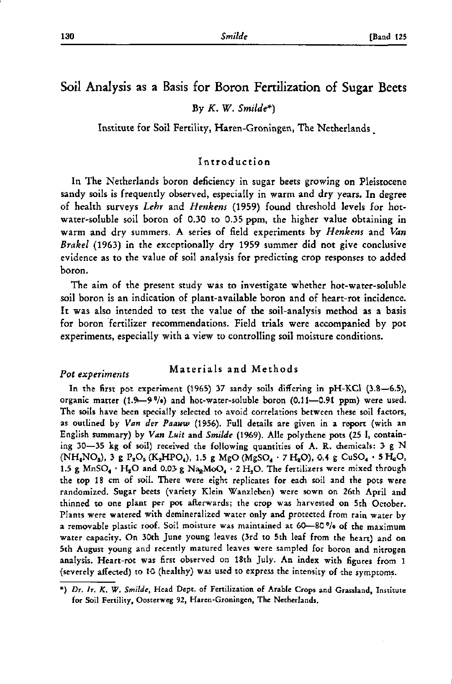# Soil Analysis as a Basis for Boron Fertilization of Sugar Beets

By *K. W. Smilde\*)* 

Institute for Soil Fertility, Haren-Groningen, The Netherlands .

# Introduction

In The Netherlands boron deficiency in sugar beets growing on Pleistocene sandy soils is frequently observed, especially in warm and dry years. In degree of health surveys *Lehr* and *Henkens* (1959) found threshold levels for hotwater-soluble soil boron of 0.30 to 0.35 ppm, the higher value obtaining in warm and dry summers. A series of field experiments by *Henkens* and *Van Brakel* (1963) in the exceptionally dry 1959 summer did not give conclusive evidence as to the value of soil analysis for predicting crop responses to added boron.

The aim of the present study was to investigate whether hot-water-soluble soil boron is an indication of plant-available boron and of heart-rot incidence. It was also intended to test the value of the soil-analysis method as a basis for boron fertilizer recommendations. Field trials were accompanied by pot experiments, especially with a view to controlling soil moisture conditions.

#### Materials and Methods *Pot experiments*

In the first pot experiment (1965) 37 sandy soils differing in pH-KCl (3.8—6.5), organic matter  $(1.9-9<sup>0</sup>/0)$  and hot-water-soluble boron  $(0.11-0.91$  ppm) were used. The soils have been specially selected to avoid correlations between these soil factors, as outlined by *Van der Paauw* (1956). Full details are given in a report (with an English summary) by *Van Luit* and *Smilde* (1969). Alle polythene pots (25 1, containing 30—35 kg of soil) received the following quantities of A. R. chemicals: 3 g N  $(NH_4NO_8)$ , 3 g  $P_2O_5$  (K<sub>2</sub>HPO<sub>4</sub>), 1.5 g MgO (MgSO<sub>4</sub> · 7 H<sub>2</sub>O), 0.4 g CuSO<sub>4</sub> · 5 H<sub>2</sub>O, 1.5 g MnSO<sub>4</sub> • H<sub>2</sub>O and 0.03 g Na<sub>2</sub>MoO<sub>4</sub> • 2 H<sub>2</sub>O. The fertilizers were mixed through the top 18 cm of soil. There were eight replicates for each soil and the pots were randomized. Sugar beets (variety Klein Wanzleben) were sown on 26th April and thinned to one plant per pot afterwards; the crop was harvested on 5th October. Plants were watered with demineralized water only and protected from rain water by a removable plastic roof. Soil moisture was maintained at 60—80 °/o of the maximum water capacity. On 30th June young leaves (3rd to 5th leaf from the heart) and on 5th August young and recently matured leaves were sampled for boron and nitrogen analysis. Heart-rot was first observed on 18th July. An index with figures from 1 (severely affected) to 10 (healthy) was used to express the intensity of the symptoms.

<sup>\*)</sup> *Dr. Ir. K. W. Smilde,* Head Dept. of Fertilization of Arable Crops and Grassland, Institute for Soil Fertility, Oosterweg 92, Haren-Groningen, The Netherlands.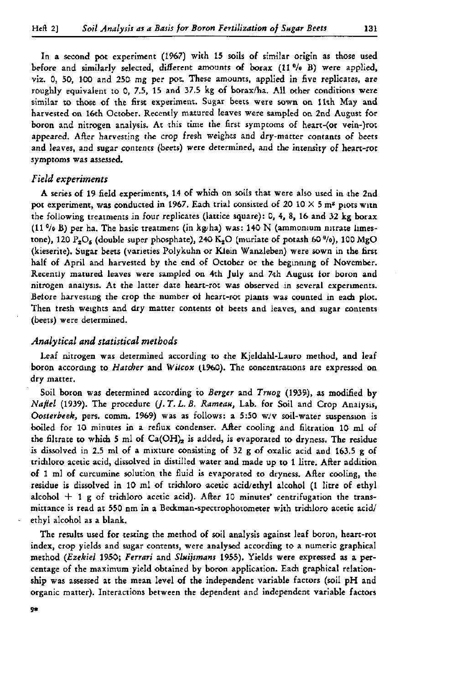In a second pot experiment (1967) with 15 soils of similar origin as those used before and similarly selected, different amounts of borax (11 *Vo* B) were applied, viz. 0, 50, 100 and 250 mg per pot. These amounts, applied in five replicates, are roughly equivalent to 0, 7.5, 15 and 37.5 kg of borax/ha. All other conditions were similar to those of the first experiment. Sugar beets were sown on 11th May and harvested on 16th October. Recently matured leaves were sampled on 2nd August for boron and nitrogen analysis. At this time the first symptoms of heart-(or vein-)rot appeared. After harvesting the crop fresh weights and dry-matter contants of beets and leaves, and sugar contents (beets) were determined, and the intensity of heart-rot symptoms was assessed.

#### *Field experiments*

A series of 19 field experiments, 14 of which on soils that were also used in the 2nd pot experiment, was conducted in 1967. Each trial consisted of 20 10  $\times$  5 m<sup>2</sup> piots with the following treatments in four replicates (lattice square): 0, 4, 8, 16 and 32 kg borax  $(11<sup>9</sup>/0 B)$  per ha. The basic treatment (in kg/ha) was: 140 N (ammonium nitrate limestone), 120  $P_2O_6$  (double super phosphate), 240 K<sub>2</sub>O (muriate of potash 60<sup> $\theta/\theta$ </sup>), 100 MgO (kieserite). Sugar beets (varieties Polykuhn or Klein Wanzleben) were sown in the first half of April and harvested by the end of October or the beginning of November. Recently matured leaves were sampled on 4th July and 7th August for boron and nitrogen analysis. At the latter date heart-rot was observed in several experiments. Betöre harvesting the crop the number ot heart-rot plants was counted in each plot. Then tresh weights and dry matter contents ot beets and leaves, and sugar contents (beets) were determined.

## *Analytical and statistical methods*

Leaf nitrogen was determined according to the Kjeldahl-Lauro method, and leaf boron according to *Hatcher* and *Wilcox* (1960). The concentrations are expressed on dry matter.

Soil boron was determined according to *Berger* and *Truog* (1939), as modified by *Najiel* (1939). The procedure *(J. T. L. B. Rameau,* Lab. for Soil and Crop Analysis, *Oosterbeek,* pers. comm. 1969) was as follows: a 5:50 w/v soil-water suspension is boiled for 10 minutes in a reflux condenser. After cooling and filtration 10 ml of the filtrate to which 5 ml of  $Ca(OH)_2$  is added, is evaporated to dryness. The residue is dissolved in 2.5 ml of a mixture consisting of 32 g of oxalic acid and 163.5 g of trichloro acetic acid, dissolved in distilled water and made up to 1 litre. After addition of 1 ml of curcumine solution the fluid is evaporated to dryness. After cooling, the residue is dissolved in 10 ml of trichloro acetic acid/ethyl alcohol (1 litre of ethyl alcohol  $+$  1 g of trichloro acetic acid). After 10 minutes' centrifugation the transmittance is read at 550 nm in a Beckman-spectrophotometer with trichloro acetic acid/ ethyl alcohol as a blank.

The results used for testing the method of soil analysis against leaf boron, heart-rot index, crop yields and sugar contents, were analysed according to a numeric graphical method *(Ezekiel* 1950; *Ferrari* and *Sluijsmans* 1955). Yields were expressed as a percentage of the maximum yield obtained by boron application. Each graphical relationship was assessed at the mean level of the independent variable factors (soil pH and organic matter). Interactions between the dependent and independent variable factors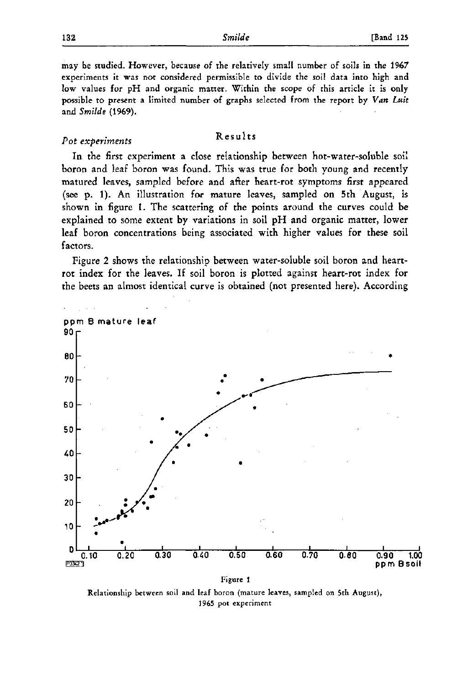may be studied. However, because of the relatively small number of soils in the 1967 experiments it was not considered permissible to divide the soil data into high and low values for pH and organic matter. Within the scope of this article it is only possible to present a limited number of graphs selected from the report by *Van Luit*  and *Smilde* (1%9).

# *Pot experiments* Results

In the first experiment a close relationship between hot-water-soluble soil boron and leaf boron was found. This was true for both young and recently matured leaves, sampled before and after heart-rot symptoms first appeared (see p. 1). An illustration for mature leaves, sampled on 5th August, is shown in figure 1. The scattering of the points around the curves could be explained to some extent by variations in soil pH and organic matter, lower leaf boron concentrations being associated with higher values for these soil factors.

Figure 2 shows the relationship between water-soluble soil boron and heartrot index for the leaves. If soil boron is plotted against heart-rot index for the beets an almost identical curve is obtained (not presented here). According



Relationship between soil and leaf boron (mature leaves, sampled on 5th August), 1965 pot experiment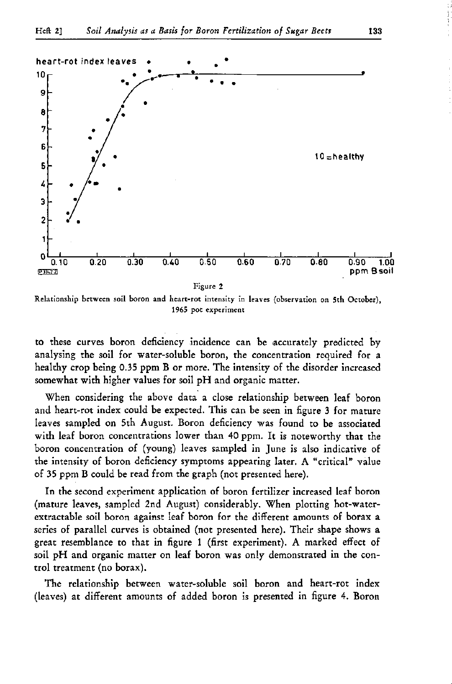

Relationship between soil boron and heart-rot intensity in leaves (observation on 5th October), 1965 pot experiment

to these curves boron deficiency incidence can be accurately predicted by analysing the soil for water-soluble boron, the concentration required for a healthy crop being 0.35 ppm B or more. The intensity of the disorder increased somewhat with higher values for soil pH and organic matter.

When considering the above data a close relationship between leaf boron and heart-rot index could be expected. This can be seen in figure 3 for mature leaves sampled on 5th August. Boron deficiency was found to be associated with leaf boron concentrations lower than 40 ppm. It is noteworthy that the boron concentration of (young) leaves sampled in June is also indicative of the intensity of boron deficiency symptoms appearing later. A "critical" value of 35 ppm B could be read from the graph (not presented here).

In the second experiment application of boron fertilizer increased leaf boron (mature leaves, sampled 2nd August) considerably. When plotting hot-waterextractable soil boron against leaf boron for the different amounts of borax a series of parallel curves is obtained (not presented here). Their shape shows a great resemblance to that in figure 1 (first experiment). A marked effect of soil pH and organic matter on leaf boron was only demonstrated in the control treatment (no borax).

The relationship between water-soluble soil boron and heart-rot index (leaves) at different amounts of added boron is presented in figure 4. Boron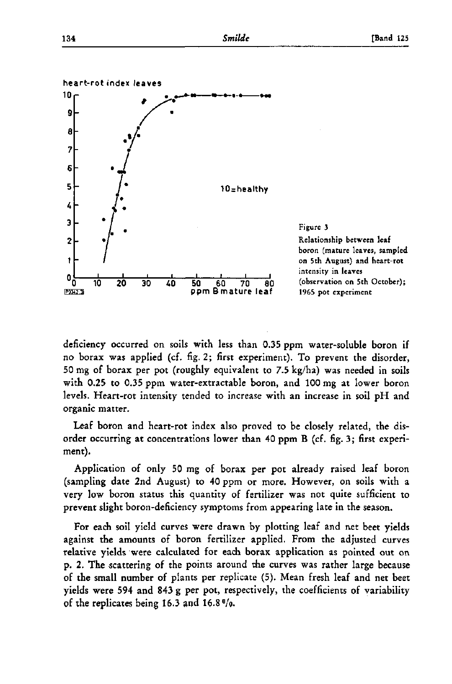



deficiency occurred on soils with less than 0.35 ppm water-soluble boron if no borax was applied (cf. fig. 2; first experiment). To prevent the disorder, 50 mg of borax per pot (roughly equivalent to 7.5 kg/ha) was needed in soils with 0.25 to 0.35 ppm water-extractable boron, and 100 mg at lower boron levels. Heart-rot intensity tended to increase with an increase in soil pH and organic matter.

Leaf boron and heart-rot index also proved to be closely related, the disorder occurring at concentrations lower than 40 ppm B (cf. fig. 3 ; first experiment).

Application of only 50 mg of borax per pot already raised leaf boron (sampling date 2nd August) to 40 ppm or more. However, on soils with a very low boron status this quantity of fertilizer was not quite sufficient to prevent slight boron-deficiency symptoms from appearing late in the season.

For each soil yield curves were drawn by plotting leaf and net beet yields against the amounts of boron fertilizer applied. From the adjusted curves relative yields were calculated for each borax application as pointed out on p. 2. The scattering of the points around the curves was rather large because of the small number of plants per replicate (5). Mean fresh leaf and net beet yields were 594 and 843 g per pot, respectively, the coefficients of variability of the replicates being 16.3 and 16.8 °/o.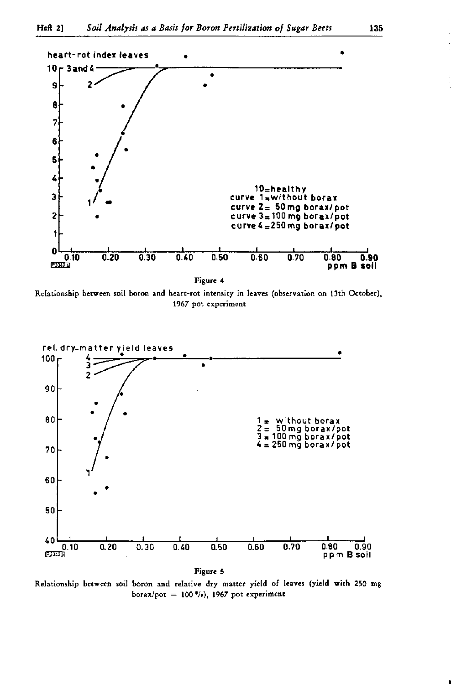

Relationship between soil boron and heart-rot intensity in leaves (observation on 13th October), 1967 pot experiment



Relationship between soil boron and relative dry matter yield of leaves (yield with 250 mg borax/pot =  $100$  %), 1967 pot experiment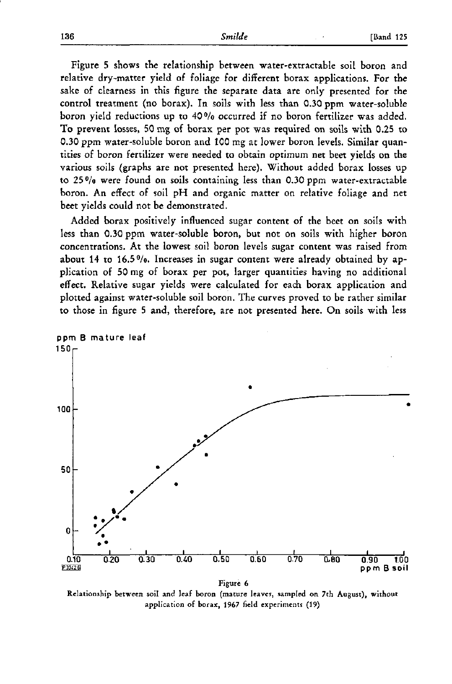Figure 5 shows the relationship between water-extractable soil boron and relative dry-matter yield of foliage for different borax applications. For the sake of clearness in this figure the separate data are only presented for the control treatment (no borax). In soils with less than 0.30 ppm water-soluble boron yield reductions up to 40 °/o occurred if no boron fertilizer was added. To prevent losses, 50 mg of borax per pot was required on soils with 0.25 to 0.30 ppm water-soluble boron and 100 mg at lower boron levels. Similar quantities of boron fertilizer were needed to obtain optimum net beet yields on the various soils (graphs are not presented here). Without added borax losses up to 25 °/o were found on soils containing less than 0.30 ppm water-extractable boron. An effect of soil pH and organic matter on relative foliage and net beet yields could not be demonstrated.

Added borax positively influenced sugar content of the beet on soils with less than 0.30 ppm water-soluble boron, but not on soils with higher boron concentrations. At the lowest soil boron levels sugar content was raised from about 14 to 16.5 °/o. Increases in sugar content were already obtained by application of 50 mg of borax per pot, larger quantities having no additional effect. Relative sugar yields were calculated for each borax application and plotted against water-soluble soil boron. The curves proved to be rather similar to those in figure 5 and, therefore, are not presented here. On soils with less



Relationship between soil and leaf boron (mature leaves, sampled on 7th August), without application of borax, 1967 field experiments (19)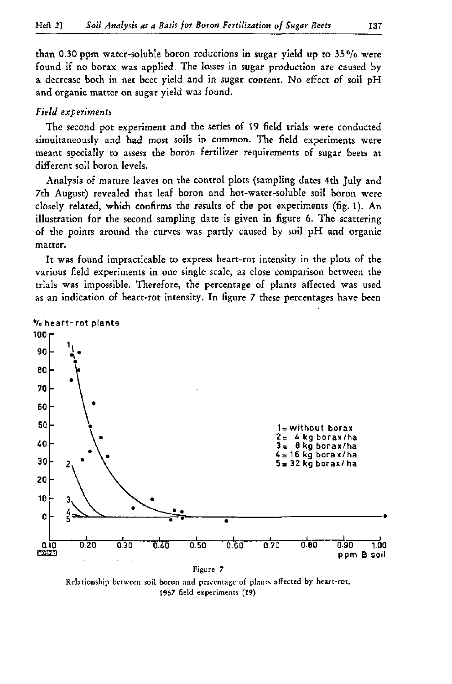than 0.30 ppm water-soluble boron reductions in sugar yield up to  $35\%$  were found if no borax was applied. The losses in sugar production are caused by a decrease both in net beet yield and in sugar content. No effect of soil pH and organic matter on sugar yield was found.

## *Field experiments*

The second pot experiment and the series of 19 field trials were conducted simultaneously and had most soils in common. The field experiments were meant specially to assess the boron fertilizer requirements of sugar beets at different soil boron levels.

Analysis of mature leaves on the control plots (sampling dates 4th July and 7th August) revealed that leaf boron and hot-water-soluble soil boron were closely related, which confirms the results of the pot experiments (fig. 1). An illustration for the second sampling date is given in figure 6. The scattering of the points around the curves was partly caused by soil pH and organic matter.

It was found impracticable to express heart-rot intensity in the plots of the various field experiments in one single scale, as close comparison between the trials was impossible. Therefore, the percentage of plants affected was used as an indication of heart-rot intensity. In figure 7 these percentages have been



Relationship between soil boron and percentage of plants affected by heart-rot, 1967 field experiments (19)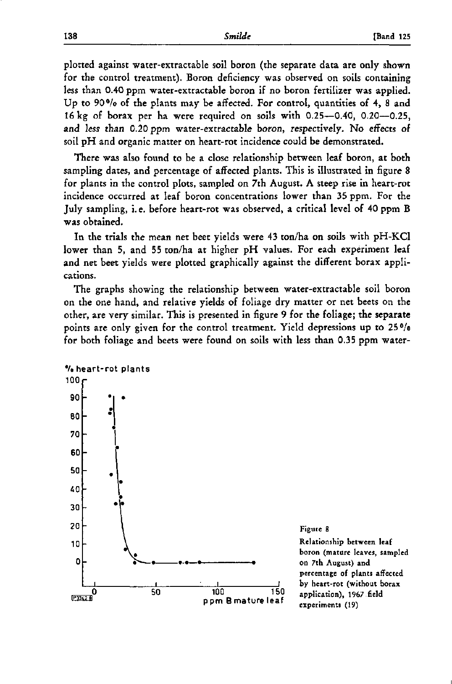plotted against water-extractable soil boron (the separate data are only shown for the control treatment). Boron deficiency was observed on soils containing less than 0.40 ppm water-extractable boron if no boron fertilizer was applied. Up to 90°/o of the plants may be affected. For control, quantities of 4, 8 and 16 kg of borax per ha were required on soils with 0.25—0.40, 0.20—0.25, and less than 0.20 ppm water-extractable boron, respectively. No effects of soil pH and organic matter on heart-rot incidence could be demonstrated.

There was also found to be a close relationship between leaf boron, at both sampling dates, and percentage of affected plants. This is illustrated in figure 8 for plants in the control plots, sampled on 7th August. A steep rise in heart-rot incidence occurred at leaf boron concentrations lower than 35 ppm. For the July sampling, i. e. before heart-rot was observed, a critical level of 40 ppm B was obtained.

In the trials the mean net beet yields were 43 ton/ha on soils with pH-KCl lower than 5, and 55 ton/ha at higher pH values. For each experiment leaf and net beet yields were plotted graphically against the different borax applications.

The graphs showing the relationship between water-extractable soil boron on the one hand, and relative yields of foliage dry matter or net beets on the other, are very similar. This is presented in figure 9 for the foliage; **the separate**  points are only given for the control treatment. Yield depressions up to 25% for both foliage and beets were found on soils with less than 0.35 ppm water-



Relationship between leaf boron (mature leaves, sampled on 7th August) and percentage of plants affected by heart-rot (without borax application), 1967 field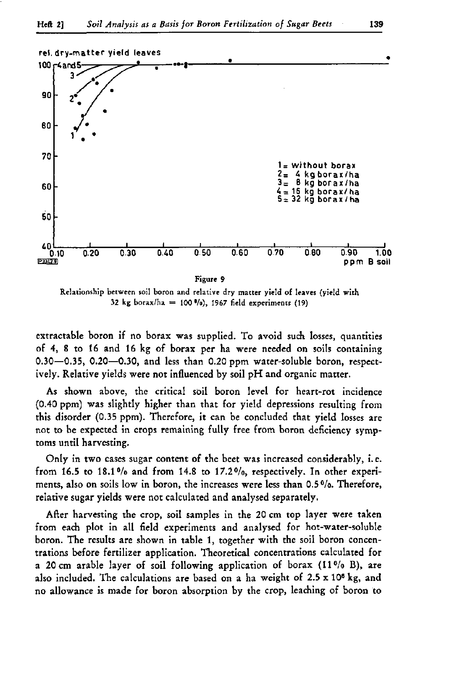

32 kg borax/ha = 100 %), 1967 field experiments (19)

extractable boron if no borax was supplied. To avoid such losses, quantities of 4, 8 to 16 and 16 kg of borax per ha were needed on soils containing 0.30—0.35, 0.20—0.30, and less than 0.20 ppm water-soluble boron, respectively. Relative yields were not influenced by soil pH and organic matter.

As shown above, the critical soil boron level for heart-rot incidence (0.40 ppm) was slightly higher than that for yield depressions resulting from this disorder (0.35 ppm). Therefore, it can be concluded that yield losses are not to be expected in crops remaining fully free from boron deficiency symptoms until harvesting.

Only in two cases sugar content of the beet was increased considerably, i. e. from 16.5 to 18.1% and from 14.8 to 17.2%, respectively. In other experiments, also on soils low in boron, the increases were less than 0.5%. Therefore, relative sugar yields were not calculated and analysed separately.

After harvesting the crop, soil samples in the 20 cm top layer were taken from each plot in all field experiments and analysed for hot-water-soluble boron. The results are shown in table 1, together with the soil boron concentrations before fertilizer application. Theoretical concentrations calculated for a 20 cm arable layer of soil following application of borax  $(11\frac{9}{6}B)$ , are also included. The calculations are based on a ha weight of 2.5 x 10<sup>6</sup> no allowance is made for boron absorption by the crop, leaching of boron to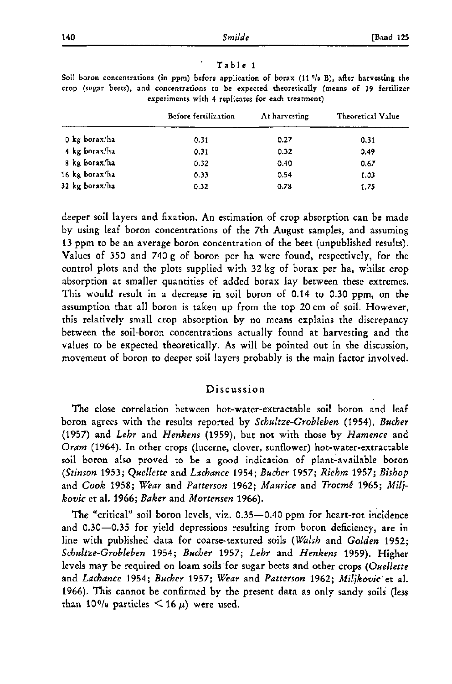### Table 1

|                | Before fertilization | At harvesting | Theoretical Value |
|----------------|----------------------|---------------|-------------------|
| 0 kg borax/ha  | 0.31                 | 0.27          | 0.31              |
| 4 kg borax/ha  | 0.31                 | 0.32          | 0.49              |
| 8 kg borax/ha  | 0.32                 | 0.40          | 0.67              |
| 16 kg borax/ha | 0.33                 | 0.54          | 1.03              |
| 32 kg borax/ha | 0.32                 | 0.78          | 1.75              |

Soil boron concentrations (in ppm) before application of borax (11 *"la* B), after harvesting the crop (sugar beets), and concentrations to be expected theoretically (means of 19 fertilizer experiments with 4 replicates for each treatment)

deeper soil layers and fixation. An estimation of crop absorption can be made by using leaf boron concentrations of the 7th August samples, and assuming 13 ppm to be an average boron concentration of the beet (unpublished results). Values of 350 and 740 g of boron per ha were found, respectively, for the control plots and the plots supplied with 32 kg of borax per ha, whilst crop absorption at smaller quantities of added borax lay between these extremes. This would result in a decrease in soil boron of 0.14 to 0.30 ppm, on the assumption that all boron is taken up from the top 20 cm of soil. However, this relatively small crop absorption by no means explains the discrepancy between the soil-boron concentrations actually found at harvesting and the values to be expected theoretically. As will be pointed out in the discussion, movement of boron to deeper soil layers probably is the main factor involved.

## Discussion

The close correlation between hot-water-extractable soil boron and leaf boron agrees with the results reported by *Schultze-Grobleben* (1954), *Buchet*  (1957) and *Lehr* and *Henkens* (1959), but not with those by *Hamence* and *Oram* (1964). In other crops (lucerne, clover, sunflower) hot-water-extractable soil boron also proved to be a good indication of plant-available boron *(Stinson* 1953; *Quellette* and *Lachance* 1954; *Bucher* 1957; *Riehm* 1957; *Bishop*  and *Cook* 1958; *Wear* and *Patterson* 1962; *Maurice* and *Trocmê* 1965; *Miljkovic* et al. 1966; *Baker* and *Mortensen* 1966).

The "critical" soil boron levels, viz. 0.35—0.40 ppm for heart-rot incidence and 0.30—0.35 for yield depressions resulting from boron deficiency, are in line with published data for coarse-textured soils *{Walsh* and *Golden* 1952; *Schultze-Grobleben* 1954; *Bücher* 1957; *Lehr* and *Henkens* 1959). Higher levels may be required on loam soils for sugar beets and other crops *(Ouellette*  and *Lachance* 1954; *Bücher* 1957; *Wear* and *Patterson* 1962; *Miljkovic* et al. 1966). This cannot be confirmed by the present data as only sandy soils (less than 10% particles  $\leq 16 \mu$  were used.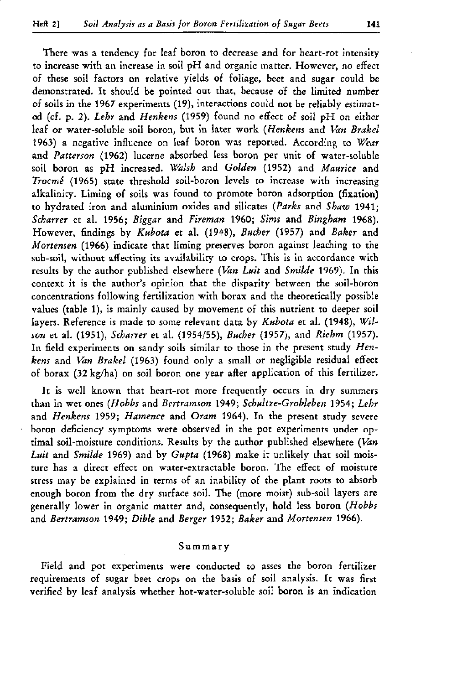There was a tendency for leaf boron to decrease and for heart-rot intensity to increase with an increase in soil pH and organic matter. However, no effect of these soil factors on relative yields of foliage, beet and sugar could be demonstrated. It should be pointed out that, because of the limited number of soils in the 1967 experiments (19), interactions could not be reliably estimated (cf. p. 2). *Lehr* and *Henkens* (1959) found no effect of soil pH on either leaf or water-soluble soil boron, but in later work *(Henkens* and *Van Brakel*  1963) a negative influence on leaf boron was reported. According to *Wear*  and *Patterson* (1962) lucerne absorbed less boron per unit of water-soluble soil boron as pH increased. *Walsh* and *Golden* (1952) and *Maurice* and *Trocmé* (1965) state threshold soil-boron levels to increase with increasing alkalinity. Liming of soils was found to promote boron adsorption (fixation) to hydrated iron and aluminium oxides and silicates *(Parks* and *Shaw* 1941; *Scharrer* et al. 1956; *Biggar* and *Fireman* 1960; *Sims* and *Bingham* 1968). However, findings by *Kubota* et al. (1948), *Bucher* (1957) and *Baker* and *Mortensen* (1966) indicate that liming preserves boron against leaching to the sub-soil, without affecting its availability to crops. This is in accordance with results by the author published elsewhere *(Van Luit* and *Smilde* 1969). In this context it is the author's opinion that the disparity between the soil-boron concentrations following fertilization with borax and the theoretically possible values (table 1), is mainly caused by movement of this nutrient to deeper soil layers. Reference is made to some relevant data by *Kubota* et al. (1948), *Wilson* et al. (1951), *Scharrer* et al. (1954/55), *Bucher* (1957), and *Riehm* (1957). In field experiments on sandy soils similar to those in the present study *Henkens* and *Van Brakel* (1963) found only a small or negligible residual effect of borax (32 kg/ha) on soil boron one year after application of this fertilizer.

It is well known that heart-rot more frequently occurs in dry summers than in wet ones *(Hobbs* and *Bertramson* 1949; *Schultze-Grobleben* 1954; *Lehr*  and *Henkens* 1959; *Hamence* and *Oram* 1964). In the present study severe boron deficiency symptoms were observed in the pot experiments under optimal soil-moisture conditions. Results by the author published elsewhere *(Van Luit* and *Smilde* 1969) and by *Gupta* (1968) make it unlikely that soil moisture has a direct effect on water-extractable boron. The effect of moisture stress may be explained in terms of an inability of the plant roots to absorb enough boron from the dry surface soil. The (more moist) sub-soil layers are generally lower in organic matter and, consequently, hold less boron *(Hobbs*  and *Bertramson* 1949; *Dible* and *Berger* 1952; *Baker* and *Mortensen* 1966).

### Summar y

Field and pot experiments were conducted to asses the boron fertilizer requirements of sugar beet crops on the basis of soil analysis. It was first verified by leaf analysis whether hot-water-soluble soil boron is an indication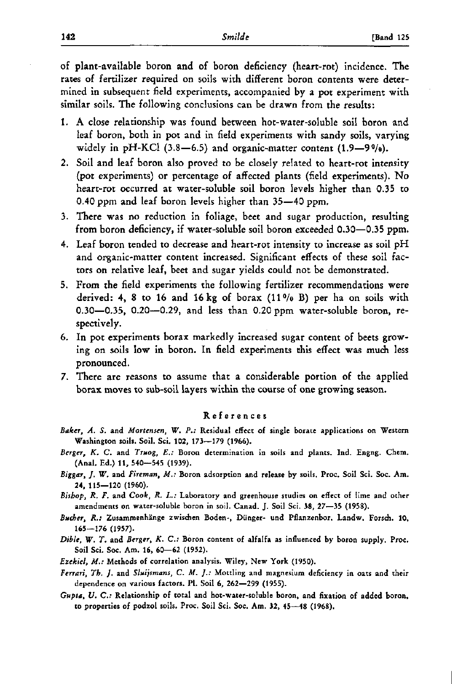of plant-available boron and of boron deficiency (heart-rot) incidence. The rates of fertilizer required on soils with different boron contents were determined in subsequent field experiments, accompanied by a pot experiment with similar soils. The following conclusions can be drawn from the results:

- 1. A close relationship was found between hot-water-soluble soil boron and leaf boron, both in pot and in field experiments with sandy soils, varying widely in pH-KCl  $(3.8-6.5)$  and organic-matter content  $(1.9-9\%)$ .
- 2. Soil and leaf boron also proved to be closely related to heart-rot intensity (pot experiments) or percentage of affected plants (field experiments). No heart-rot occurred at water-soluble soil boron levels higher than 0.35 to 0.40 ppm and leaf boron levels higher than 35—40 ppm.
- 3. There was no reduction in foliage, beet and sugar production, resulting from boron deficiency, if water-soluble soil boron exceeded 0.30—0.35 ppm.
- 4. Leaf boron tended to decrease and heart-rot intensity to increase as soil pH and organic-matter content increased. Significant effects of these soil factors on relative leaf, beet and sugar yields could not be demonstrated.
- 5. From the field experiments the following fertilizer recommendations were derived: 4, 8 to 16 and 16 kg of borax  $(11\frac{0}{0}B)$  per ha on soils with 0.30—0.35, 0.20—0.29, and less than 0.20 ppm water-soluble boron, respectively.
- 6. In pot experiments borax markedly increased sugar content of beets growing on soils low in boron. In field experiments this effect was much less pronounced.
- 7. There are reasons to assume that a considerable portion of the applied borax moves to sub-soil layers within the course of one growing season.

#### Reference s

- *Baker, A. S.* and *Mortensen, W. P.:* Residual effect of single borate applications on Western Washington soils. Soil. Sei. **102,** 173—179 (1966).
- *Berger, K. C.* and *Truog,* £..' Boron determination in soils and plants. Ind. Engng. Chem. (Anal. Ed.) **11,** 540—545 (1939).
- *Biggar, J. W.* and *Fireman, M.:* Boron adsorption and release by soils. Proc. Soil Sei. Soc. Am. 24, 115—120 (1960).
- *Bishop, R. F.* and *Cook, R.* £.: Laboratory and greenhouse studies on effect of lime and other amendments on water-soluble boron in soil. Canad. J. Soil Sei. 38, 27—35 (1958).
- *Bâcher, R.:* Zusammenhänge zwischen Boden-, Dünger- und Pflanzenbor. Landw. Forsch. **10.**  165—176 (1957).
- *Dible, W. T.* and *Berger, K. C:* Boron content of alfalfa as influenced by boron supply. Proc. Soil Sei. Soc. Am. 16, 60—62 (1952).
- *Ezekiel, M.:* Methods of correlation analysis. Wiley, New York (1950).
- *Ferrari, Th. J.* and *Sluijsmans, C. M. ].:* Mottling and magnesium deficiency in oats and their dependence on various factors. PI. Soil 6, 262—299 (1955).
- *Gupta, U. C:* Relationship of total and hot-water-soluble boron, and fixation of added boron, to properties of podzol soils. Proc. Soil Sei. Soc. Am. 32, 45—48 (1968).